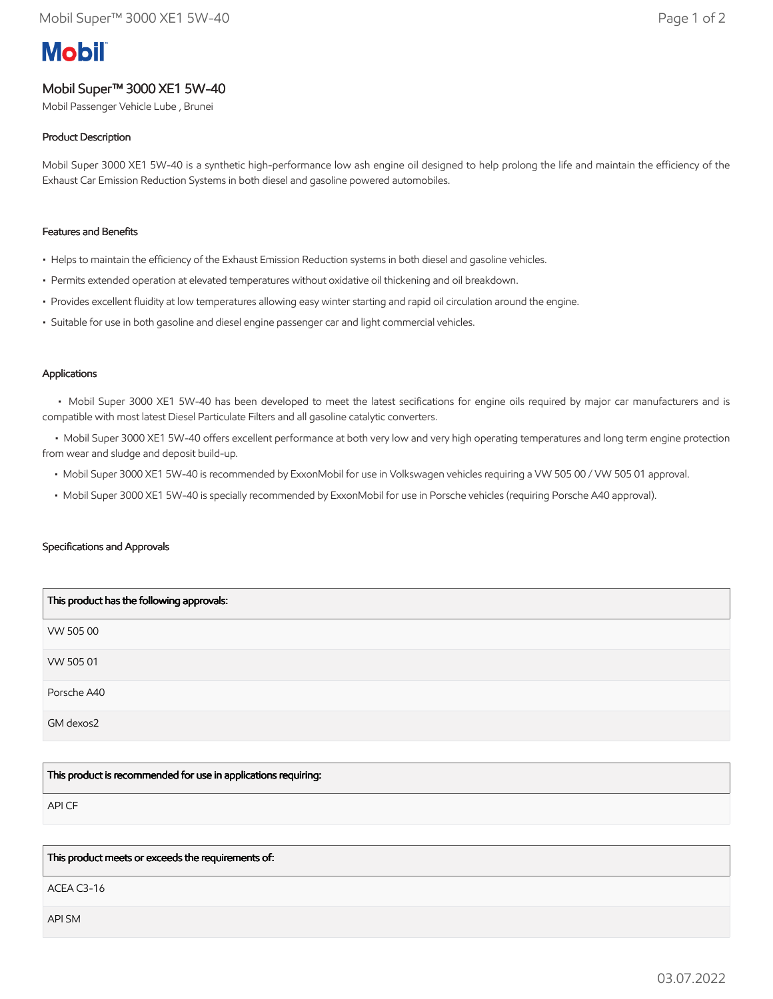# **Mobil**

# Mobil Super™ 3000 XE1 5W-40

Mobil Passenger Vehicle Lube , Brunei

# Product Description

Mobil Super 3000 XE1 5W-40 is a synthetic high-performance low ash engine oil designed to help prolong the life and maintain the efficiency of the Exhaust Car Emission Reduction Systems in both diesel and gasoline powered automobiles.

## Features and Benefits

- Helps to maintain the efficiency of the Exhaust Emission Reduction systems in both diesel and gasoline vehicles.
- Permits extended operation at elevated temperatures without oxidative oil thickening and oil breakdown.
- Provides excellent fluidity at low temperatures allowing easy winter starting and rapid oil circulation around the engine.
- Suitable for use in both gasoline and diesel engine passenger car and light commercial vehicles.

## Applications

 • Mobil Super 3000 XE1 5W-40 has been developed to meet the latest secifications for engine oils required by major car manufacturers and is compatible with most latest Diesel Particulate Filters and all gasoline catalytic converters.

 • Mobil Super 3000 XE1 5W-40 offers excellent performance at both very low and very high operating temperatures and long term engine protection from wear and sludge and deposit build-up.

- Mobil Super 3000 XE1 5W-40 is recommended by ExxonMobil for use in Volkswagen vehicles requiring a VW 505 00 / VW 505 01 approval.
- Mobil Super 3000 XE1 5W-40 is specially recommended by ExxonMobil for use in Porsche vehicles (requiring Porsche A40 approval).

#### Specifications and Approvals

| This product has the following approvals: |
|-------------------------------------------|
| VW 505 00                                 |
| VW 505 01                                 |
| Porsche A40                               |
| GM dexos2                                 |

This product is recommended for use in applications requiring:

API CF

#### This product meets or exceeds the requirements of:

ACEA C3-16

API SM